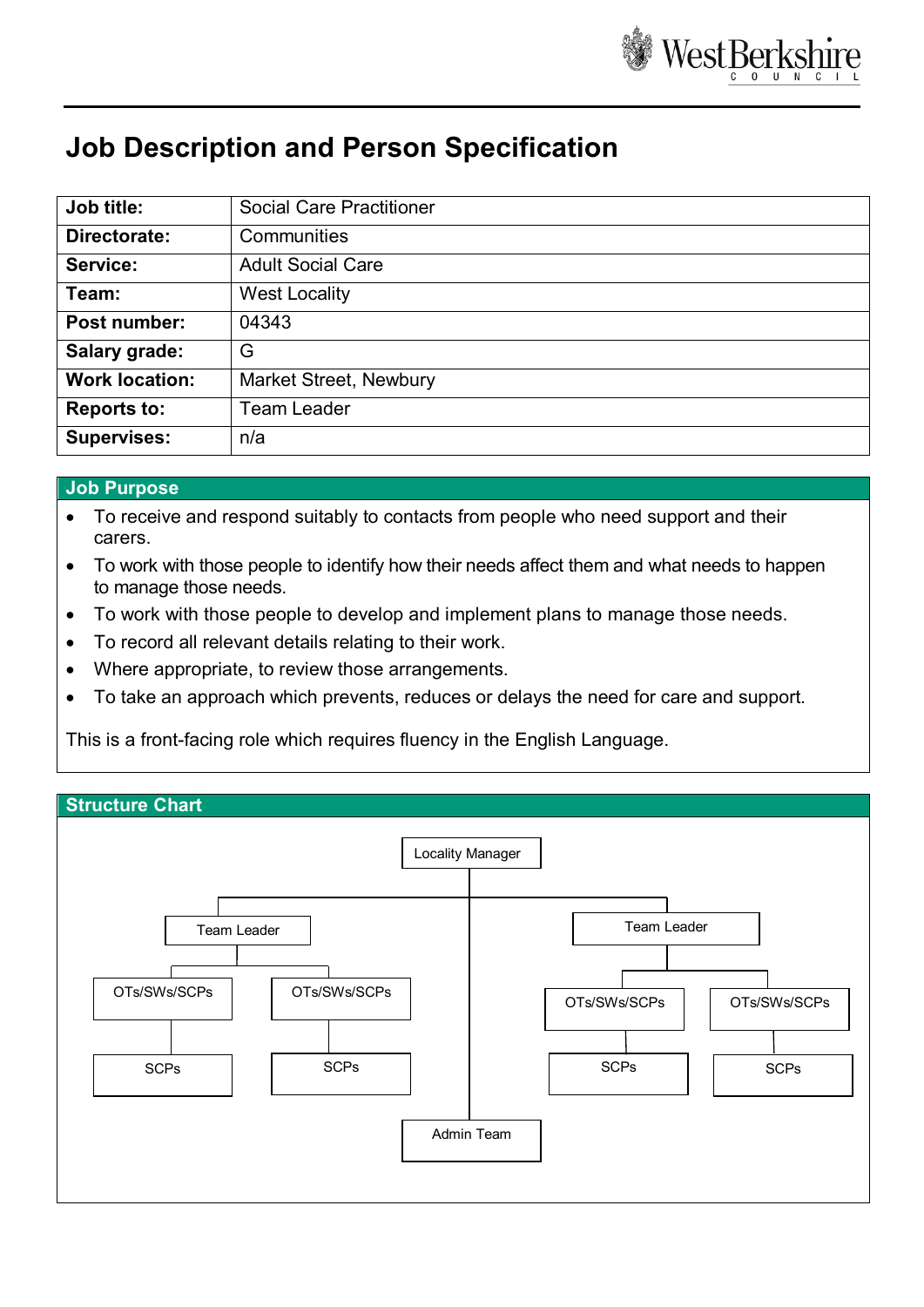

# **Job Description and Person Specification**

| Job title:            | <b>Social Care Practitioner</b> |
|-----------------------|---------------------------------|
| Directorate:          | Communities                     |
| Service:              | <b>Adult Social Care</b>        |
| Team:                 | <b>West Locality</b>            |
| Post number:          | 04343                           |
| Salary grade:         | G                               |
| <b>Work location:</b> | <b>Market Street, Newbury</b>   |
| <b>Reports to:</b>    | <b>Team Leader</b>              |
| <b>Supervises:</b>    | n/a                             |

### **Job Purpose**

- To receive and respond suitably to contacts from people who need support and their carers.
- To work with those people to identify how their needs affect them and what needs to happen to manage those needs.
- To work with those people to develop and implement plans to manage those needs.
- To record all relevant details relating to their work.
- Where appropriate, to review those arrangements.
- To take an approach which prevents, reduces or delays the need for care and support.

This is a front-facing role which requires fluency in the English Language.

#### **Structure Chart**

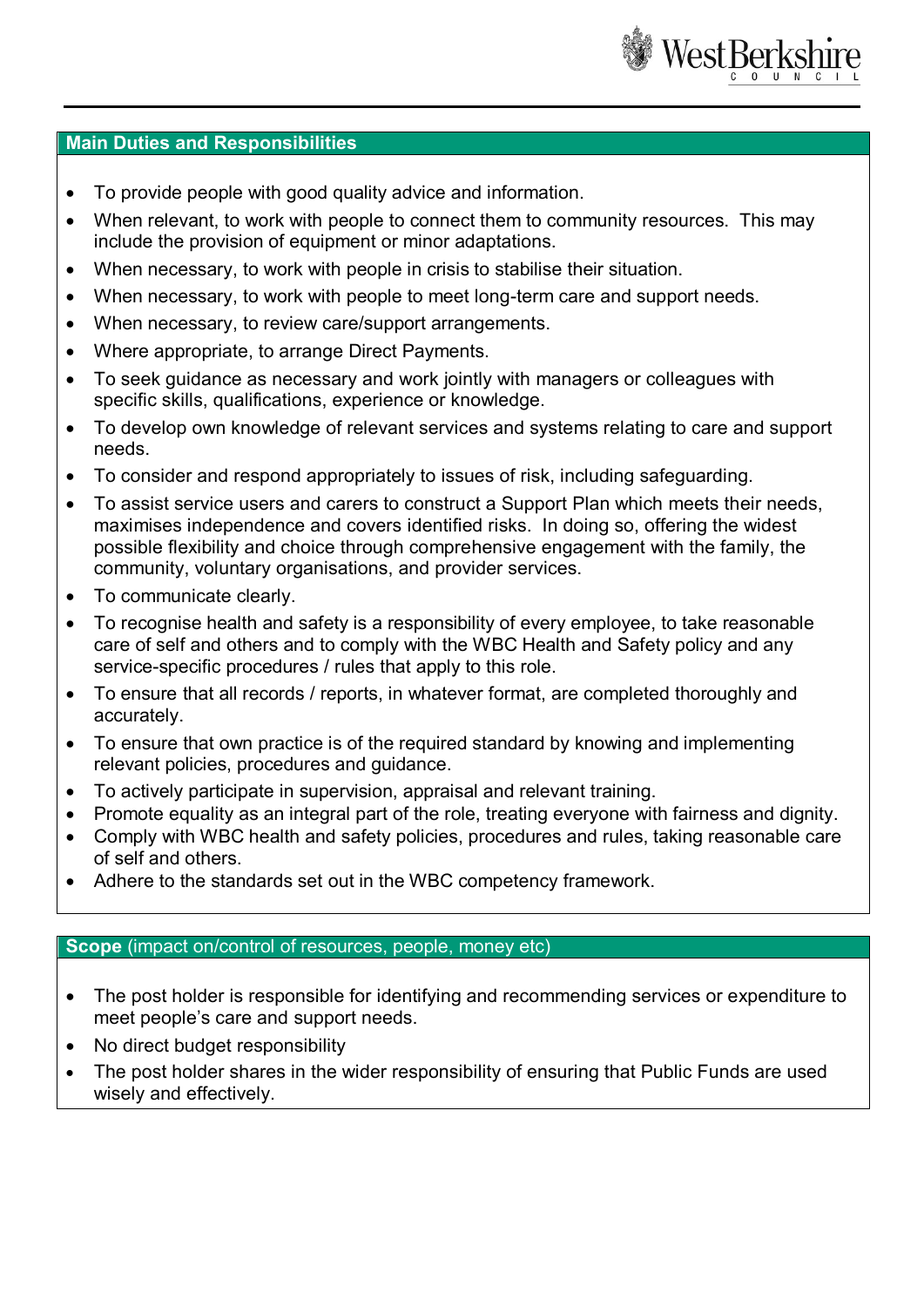

#### **Main Duties and Responsibilities**

- To provide people with good quality advice and information.
- When relevant, to work with people to connect them to community resources. This may include the provision of equipment or minor adaptations.
- When necessary, to work with people in crisis to stabilise their situation.
- When necessary, to work with people to meet long-term care and support needs.
- When necessary, to review care/support arrangements.
- Where appropriate, to arrange Direct Payments.
- To seek guidance as necessary and work jointly with managers or colleagues with specific skills, qualifications, experience or knowledge.
- To develop own knowledge of relevant services and systems relating to care and support needs.
- To consider and respond appropriately to issues of risk, including safeguarding.
- To assist service users and carers to construct a Support Plan which meets their needs, maximises independence and covers identified risks. In doing so, offering the widest possible flexibility and choice through comprehensive engagement with the family, the community, voluntary organisations, and provider services.
- To communicate clearly.
- To recognise health and safety is a responsibility of every employee, to take reasonable care of self and others and to comply with the WBC Health and Safety policy and any service-specific procedures / rules that apply to this role.
- To ensure that all records / reports, in whatever format, are completed thoroughly and accurately.
- To ensure that own practice is of the required standard by knowing and implementing relevant policies, procedures and guidance.
- To actively participate in supervision, appraisal and relevant training.
- Promote equality as an integral part of the role, treating everyone with fairness and dignity.
- Comply with WBC health and safety policies, procedures and rules, taking reasonable care of self and others.
- Adhere to the standards set out in the WBC competency framework.

## **Scope** (impact on/control of resources, people, money etc)

- The post holder is responsible for identifying and recommending services or expenditure to meet people's care and support needs.
- No direct budget responsibility
- The post holder shares in the wider responsibility of ensuring that Public Funds are used wisely and effectively.